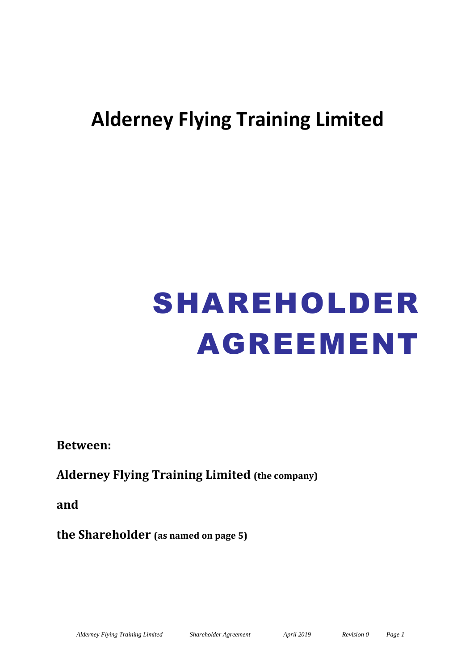# **Alderney Flying Training Limited**

# SHAREHOLDER AGREEMENT

**Between:**

**Alderney Flying Training Limited (the company)**

**and**

**the Shareholder (as named on page 5)**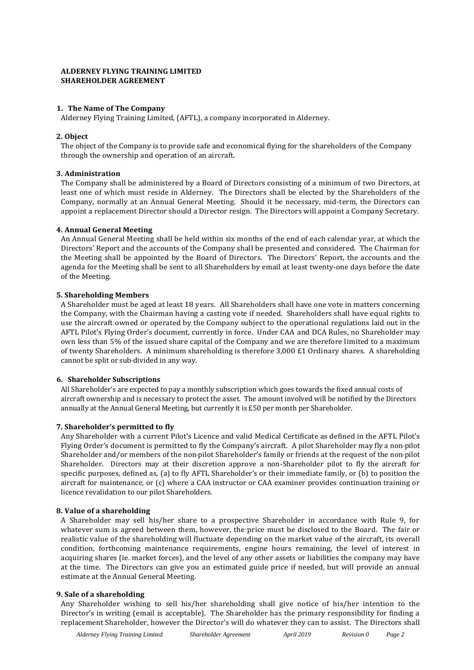# **ALDERNEY FLYING TRAINING LIMITED SHAREHOLDER AGREEMENT**

# **1. The Name of The Company**

Alderney Flying Training Limited, (AFTL), a company incorporated in Alderney.

# **2. Object**

The object of the Company is to provide safe and economical flying for the shareholders of the Company through the ownership and operation of an aircraft.

### **3. Administration**

The Company shall be administered by a Board of Directors consisting of a minimum of two Directors, at least one of which must reside in Alderney. The Directors shall be elected by the Shareholders of the Company, normally at an Annual General Meeting. Should it be necessary, mid-term, the Directors can appoint a replacement Director should a Director resign. The Directors will appoint a Company Secretary.

### **4. Annual General Meeting**

An Annual General Meeting shall be held within six months of the end of each calendar year, at which the Directors' Report and the accounts of the Company shall be presented and considered. The Chairman for the Meeting shall be appointed by the Board of Directors. The Directors' Report, the accounts and the agenda for the Meeting shall be sent to all Shareholders by email at least twenty-one days before the date of the Meeting.

### **5. Shareholding Members**

A Shareholder must be aged at least 18 years. All Shareholders shall have one vote in matters concerning the Company, with the Chairman having a casting vote if needed. Shareholders shall have equal rights to use the aircraft owned or operated by the Company subject to the operational regulations laid out in the AFTL Pilot's Flying Order's document, currently in force. Under CAA and DCA Rules, no Shareholder may own less than 5% of the issued share capital of the Company and we are therefore limited to a maximum of twenty Shareholders. A minimum shareholding is therefore 3,000 £1 Ordinary shares. A shareholding cannot be split or sub-divided in any way.

#### **6. Shareholder Subscriptions**

All Shareholder's are expected to pay a monthly subscription which goes towards the fixed annual costs of aircraft ownership and is necessary to protect the asset. The amount involved will be notified by the Directors annually at the Annual General Meeting, but currently it is £50 per month per Shareholder.

# **7. Shareholder's permitted to fly**

Any Shareholder with a current Pilot's Licence and valid Medical Certificate as defined in the AFTL Pilot's Flying Order's document is permitted to fly the Company's aircraft. A pilot Shareholder may fly a non-pilot Shareholder and/or members of the non-pilot Shareholder's family or friends at the request of the non-pilot Shareholder. Directors may at their discretion approve a non-Shareholder pilot to fly the aircraft for specific purposes, defined as, (a) to fly AFTL Shareholder's or their immediate family, or (b) to position the aircraft for maintenance, or (c) where a CAA instructor or CAA examiner provides continuation training or licence revalidation to our pilot Shareholders.

#### **8. Value of a shareholding**

A Shareholder may sell his/her share to a prospective Shareholder in accordance with Rule 9, for whatever sum is agreed between them, however, the price must be disclosed to the Board. The fair or realistic value of the shareholding will fluctuate depending on the market value of the aircraft, its overall condition, forthcoming maintenance requirements, engine hours remaining, the level of interest in acquiring shares (ie. market forces), and the level of any other assets or liabilities the company may have at the time. The Directors can give you an estimated guide price if needed, but will provide an annual estimate at the Annual General Meeting.

#### **9. Sale of a shareholding**

Any Shareholder wishing to sell his/her shareholding shall give notice of his/her intention to the Director's in writing (email is acceptable). The Shareholder has the primary responsibility for finding a replacement Shareholder, however the Director's will do whatever they can to assist. The Directors shall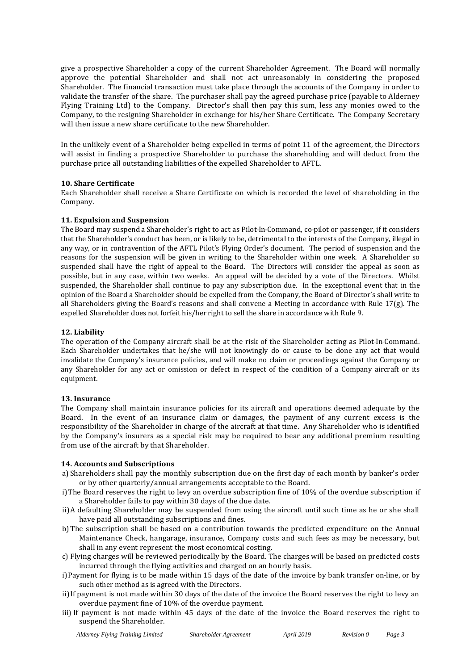give a prospective Shareholder a copy of the current Shareholder Agreement. The Board will normally approve the potential Shareholder and shall not act unreasonably in considering the proposed Shareholder. The financial transaction must take place through the accounts of the Company in order to validate the transfer of the share. The purchaser shall pay the agreed purchase price (payable to Alderney Flying Training Ltd) to the Company. Director's shall then pay this sum, less any monies owed to the Company, to the resigning Shareholder in exchange for his/her Share Certificate. The Company Secretary will then issue a new share certificate to the new Shareholder.

In the unlikely event of a Shareholder being expelled in terms of point 11 of the agreement, the Directors will assist in finding a prospective Shareholder to purchase the shareholding and will deduct from the purchase price all outstanding liabilities of the expelled Shareholder to AFTL.

### **10. Share Certificate**

Each Shareholder shall receive a Share Certificate on which is recorded the level of shareholding in the Company.

### **11. Expulsion and Suspension**

The Board may suspend a Shareholder's right to act as Pilot-In-Command, co-pilot or passenger, if it considers that the Shareholder's conduct has been, or is likely to be, detrimental to the interests of the Company, illegal in any way, or in contravention of the AFTL Pilot's Flying Order's document. The period of suspension and the reasons for the suspension will be given in writing to the Shareholder within one week. A Shareholder so suspended shall have the right of appeal to the Board. The Directors will consider the appeal as soon as possible, but in any case, within two weeks. An appeal will be decided by a vote of the Directors. Whilst suspended, the Shareholder shall continue to pay any subscription due. In the exceptional event that in the opinion of the Board a Shareholder should be expelled from the Company, the Board of Director's shall write to all Shareholders giving the Board's reasons and shall convene a Meeting in accordance with Rule 17(g). The expelled Shareholder does not forfeit his/her right to sell the share in accordance with Rule 9.

### **12. Liability**

The operation of the Company aircraft shall be at the risk of the Shareholder acting as Pilot-In-Command. Each Shareholder undertakes that he/she will not knowingly do or cause to be done any act that would invalidate the Company's insurance policies, and will make no claim or proceedings against the Company or any Shareholder for any act or omission or defect in respect of the condition of a Company aircraft or its equipment.

#### **13. Insurance**

The Company shall maintain insurance policies for its aircraft and operations deemed adequate by the Board. In the event of an insurance claim or damages, the payment of any current excess is the responsibility of the Shareholder in charge of the aircraft at that time. Any Shareholder who is identified by the Company's insurers as a special risk may be required to bear any additional premium resulting from use of the aircraft by that Shareholder.

#### **14. Accounts and Subscriptions**

- a) Shareholders shall pay the monthly subscription due on the first day of each month by banker's order or by other quarterly/annual arrangements acceptable to the Board.
- i)The Board reserves the right to levy an overdue subscription fine of 10% of the overdue subscription if a Shareholder fails to pay within 30 days of the due date.
- ii)A defaulting Shareholder may be suspended from using the aircraft until such time as he or she shall have paid all outstanding subscriptions and fines.
- b)The subscription shall be based on a contribution towards the predicted expenditure on the Annual Maintenance Check, hangarage, insurance, Company costs and such fees as may be necessary, but shall in any event represent the most economical costing.
- c) Flying charges will be reviewed periodically by the Board. The charges will be based on predicted costs incurred through the flying activities and charged on an hourly basis.
- i)Payment for flying is to be made within 15 days of the date of the invoice by bank transfer on-line, or by such other method as is agreed with the Directors.
- ii)If payment is not made within 30 days of the date of the invoice the Board reserves the right to levy an overdue payment fine of 10% of the overdue payment.
- iii) If payment is not made within 45 days of the date of the invoice the Board reserves the right to suspend the Shareholder.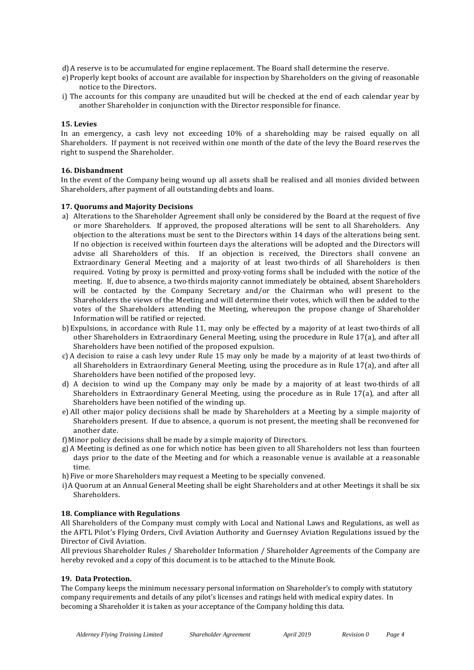d)A reserve is to be accumulated for engine replacement. The Board shall determine the reserve.

- e)Properly kept books of account are available for inspection by Shareholders on the giving of reasonable notice to the Directors.
- i) The accounts for this company are unaudited but will be checked at the end of each calendar year by another Shareholder in conjunction with the Director responsible for finance.

### **15. Levies**

In an emergency, a cash levy not exceeding 10% of a shareholding may be raised equally on all Shareholders. If payment is not received within one month of the date of the levy the Board reserves the right to suspend the Shareholder.

### **16. Disbandment**

In the event of the Company being wound up all assets shall be realised and all monies divided between Shareholders, after payment of all outstanding debts and loans.

### **17. Quorums and Majority Decisions**

- a) Alterations to the Shareholder Agreement shall only be considered by the Board at the request of five or more Shareholders. If approved, the proposed alterations will be sent to all Shareholders. Any objection to the alterations must be sent to the Directors within 14 days of the alterations being sent. If no objection is received within fourteen days the alterations will be adopted and the Directors will advise all Shareholders of this. If an objection is received, the Directors shall convene an Extraordinary General Meeting and a majority of at least two-thirds of all Shareholders is then required. Voting by proxy is permitted and proxy-voting forms shall be included with the notice of the meeting. If, due to absence, a two-thirds majority cannot immediately be obtained, absent Shareholders will be contacted by the Company Secretary and/or the Chairman who will present to the Shareholders the views of the Meeting and will determine their votes, which will then be added to the votes of the Shareholders attending the Meeting, whereupon the propose change of Shareholder Information will be ratified or rejected.
- b) Expulsions, in accordance with Rule 11, may only be effected by a majority of at least two-thirds of all other Shareholders in Extraordinary General Meeting, using the procedure in Rule 17(a), and after all Shareholders have been notified of the proposed expulsion.
- c) A decision to raise a cash levy under Rule 15 may only be made by a majority of at least two-thirds of all Shareholders in Extraordinary General Meeting, using the procedure as in Rule 17(a), and after all Shareholders have been notified of the proposed levy.
- d) A decision to wind up the Company may only be made by a majority of at least two-thirds of all Shareholders in Extraordinary General Meeting, using the procedure as in Rule 17(a), and after all Shareholders have been notified of the winding up.
- e) All other major policy decisions shall be made by Shareholders at a Meeting by a simple majority of Shareholders present. If due to absence, a quorum is not present, the meeting shall be reconvened for another date.

f)Minor policy decisions shall be made by a simple majority of Directors.

- g)A Meeting is defined as one for which notice has been given to all Shareholders not less than fourteen days prior to the date of the Meeting and for which a reasonable venue is available at a reasonable time.
- h)Five or more Shareholders may request a Meeting to be specially convened.
- i)A Quorum at an Annual General Meeting shall be eight Shareholders and at other Meetings it shall be six Shareholders.

#### **18. Compliance with Regulations**

All Shareholders of the Company must comply with Local and National Laws and Regulations, as well as the AFTL Pilot's Flying Orders, Civil Aviation Authority and Guernsey Aviation Regulations issued by the Director of Civil Aviation.

All previous Shareholder Rules / Shareholder Information / Shareholder Agreements of the Company are hereby revoked and a copy of this document is to be attached to the Minute Book.

# **19. Data Protection.**

The Company keeps the minimum necessary personal information on Shareholder's to comply with statutory company requirements and details of any pilot's licenses and ratings held with medical expiry dates. In becoming a Shareholder it is taken as your acceptance of the Company holding this data.